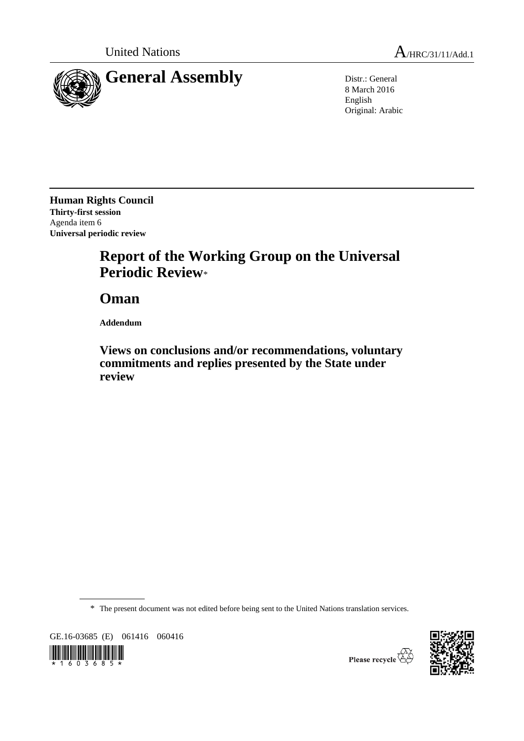

8 March 2016 English Original: Arabic

**Human Rights Council Thirty-first session** Agenda item 6 **Universal periodic review**

# **Report of the Working Group on the Universal Periodic Review**\*

**Oman**

**Addendum**

**Views on conclusions and/or recommendations, voluntary commitments and replies presented by the State under review**

\* The present document was not edited before being sent to the United Nations translation services.

GE.16-03685 (E) 061416 060416





Please recycle  $\overleftrightarrow{C}$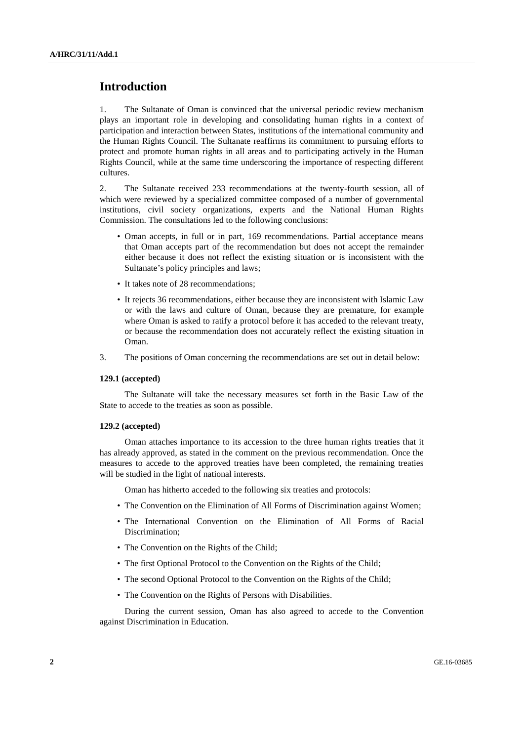## **Introduction**

1. The Sultanate of Oman is convinced that the universal periodic review mechanism plays an important role in developing and consolidating human rights in a context of participation and interaction between States, institutions of the international community and the Human Rights Council. The Sultanate reaffirms its commitment to pursuing efforts to protect and promote human rights in all areas and to participating actively in the Human Rights Council, while at the same time underscoring the importance of respecting different cultures.

2. The Sultanate received 233 recommendations at the twenty-fourth session, all of which were reviewed by a specialized committee composed of a number of governmental institutions, civil society organizations, experts and the National Human Rights Commission. The consultations led to the following conclusions:

- Oman accepts, in full or in part, 169 recommendations. Partial acceptance means that Oman accepts part of the recommendation but does not accept the remainder either because it does not reflect the existing situation or is inconsistent with the Sultanate's policy principles and laws;
- It takes note of 28 recommendations;
- It rejects 36 recommendations, either because they are inconsistent with Islamic Law or with the laws and culture of Oman, because they are premature, for example where Oman is asked to ratify a protocol before it has acceded to the relevant treaty, or because the recommendation does not accurately reflect the existing situation in Oman.
- 3. The positions of Oman concerning the recommendations are set out in detail below:

## **129.1 (accepted)**

The Sultanate will take the necessary measures set forth in the Basic Law of the State to accede to the treaties as soon as possible.

## **129.2 (accepted)**

Oman attaches importance to its accession to the three human rights treaties that it has already approved, as stated in the comment on the previous recommendation. Once the measures to accede to the approved treaties have been completed, the remaining treaties will be studied in the light of national interests.

Oman has hitherto acceded to the following six treaties and protocols:

- The Convention on the Elimination of All Forms of Discrimination against Women;
- The International Convention on the Elimination of All Forms of Racial Discrimination;
- The Convention on the Rights of the Child;
- The first Optional Protocol to the Convention on the Rights of the Child;
- The second Optional Protocol to the Convention on the Rights of the Child;
- The Convention on the Rights of Persons with Disabilities.

During the current session, Oman has also agreed to accede to the Convention against Discrimination in Education.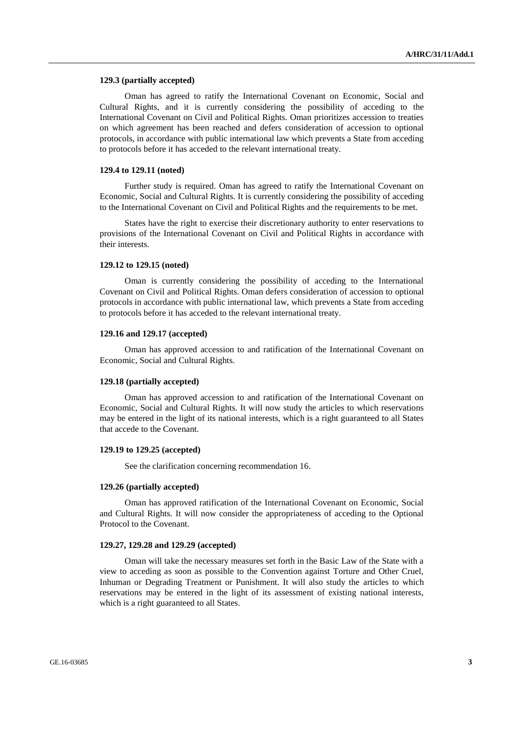#### **129.3 (partially accepted)**

Oman has agreed to ratify the International Covenant on Economic, Social and Cultural Rights, and it is currently considering the possibility of acceding to the International Covenant on Civil and Political Rights. Oman prioritizes accession to treaties on which agreement has been reached and defers consideration of accession to optional protocols, in accordance with public international law which prevents a State from acceding to protocols before it has acceded to the relevant international treaty.

#### **129.4 to 129.11 (noted)**

Further study is required. Oman has agreed to ratify the International Covenant on Economic, Social and Cultural Rights. It is currently considering the possibility of acceding to the International Covenant on Civil and Political Rights and the requirements to be met.

States have the right to exercise their discretionary authority to enter reservations to provisions of the International Covenant on Civil and Political Rights in accordance with their interests.

## **129.12 to 129.15 (noted)**

Oman is currently considering the possibility of acceding to the International Covenant on Civil and Political Rights. Oman defers consideration of accession to optional protocols in accordance with public international law, which prevents a State from acceding to protocols before it has acceded to the relevant international treaty.

## **129.16 and 129.17 (accepted)**

Oman has approved accession to and ratification of the International Covenant on Economic, Social and Cultural Rights.

## **129.18 (partially accepted)**

Oman has approved accession to and ratification of the International Covenant on Economic, Social and Cultural Rights. It will now study the articles to which reservations may be entered in the light of its national interests, which is a right guaranteed to all States that accede to the Covenant.

## **129.19 to 129.25 (accepted)**

See the clarification concerning recommendation 16.

#### **129.26 (partially accepted)**

Oman has approved ratification of the International Covenant on Economic, Social and Cultural Rights. It will now consider the appropriateness of acceding to the Optional Protocol to the Covenant.

#### **129.27, 129.28 and 129.29 (accepted)**

Oman will take the necessary measures set forth in the Basic Law of the State with a view to acceding as soon as possible to the Convention against Torture and Other Cruel, Inhuman or Degrading Treatment or Punishment. It will also study the articles to which reservations may be entered in the light of its assessment of existing national interests, which is a right guaranteed to all States.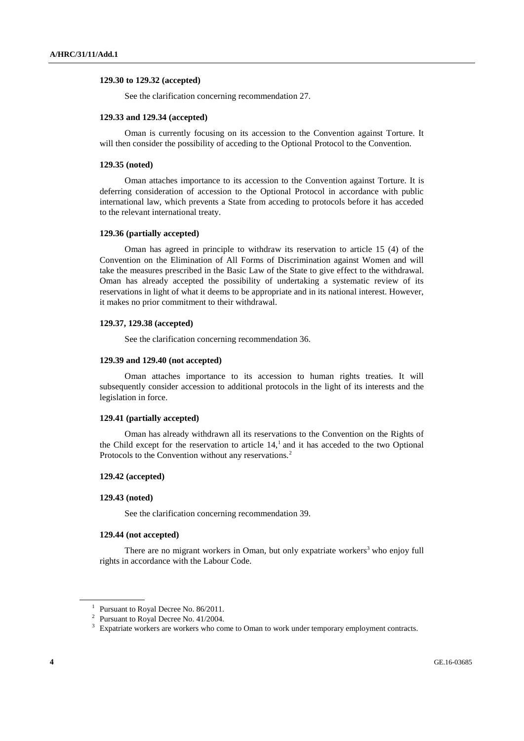## **129.30 to 129.32 (accepted)**

See the clarification concerning recommendation 27.

#### **129.33 and 129.34 (accepted)**

Oman is currently focusing on its accession to the Convention against Torture. It will then consider the possibility of acceding to the Optional Protocol to the Convention.

#### **129.35 (noted)**

Oman attaches importance to its accession to the Convention against Torture. It is deferring consideration of accession to the Optional Protocol in accordance with public international law, which prevents a State from acceding to protocols before it has acceded to the relevant international treaty.

#### **129.36 (partially accepted)**

Oman has agreed in principle to withdraw its reservation to article 15 (4) of the Convention on the Elimination of All Forms of Discrimination against Women and will take the measures prescribed in the Basic Law of the State to give effect to the withdrawal. Oman has already accepted the possibility of undertaking a systematic review of its reservations in light of what it deems to be appropriate and in its national interest. However, it makes no prior commitment to their withdrawal.

## **129.37, 129.38 (accepted)**

See the clarification concerning recommendation 36.

#### **129.39 and 129.40 (not accepted)**

Oman attaches importance to its accession to human rights treaties. It will subsequently consider accession to additional protocols in the light of its interests and the legislation in force.

## **129.41 (partially accepted)**

Oman has already withdrawn all its reservations to the Convention on the Rights of the Child except for the reservation to article  $14<sup>1</sup>$  and it has acceded to the two Optional Protocols to the Convention without any reservations.<sup>2</sup>

## **129.42 (accepted)**

#### **129.43 (noted)**

See the clarification concerning recommendation 39.

#### **129.44 (not accepted)**

There are no migrant workers in Oman, but only expatriate workers<sup>3</sup> who enjoy full rights in accordance with the Labour Code.

<sup>&</sup>lt;sup>1</sup> Pursuant to Royal Decree No. 86/2011.

<sup>&</sup>lt;sup>2</sup> Pursuant to Royal Decree No.  $41/2004$ .

<sup>3</sup> Expatriate workers are workers who come to Oman to work under temporary employment contracts.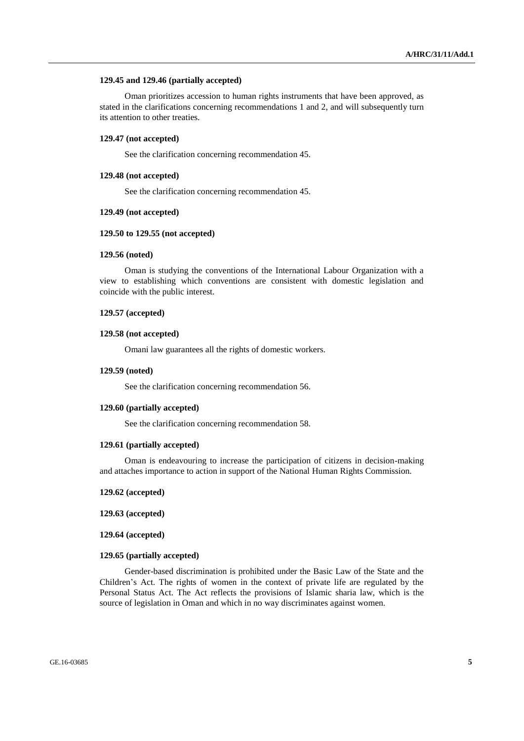## **129.45 and 129.46 (partially accepted)**

Oman prioritizes accession to human rights instruments that have been approved, as stated in the clarifications concerning recommendations 1 and 2, and will subsequently turn its attention to other treaties.

## **129.47 (not accepted)**

See the clarification concerning recommendation 45.

## **129.48 (not accepted)**

See the clarification concerning recommendation 45.

#### **129.49 (not accepted)**

## **129.50 to 129.55 (not accepted)**

## **129.56 (noted)**

Oman is studying the conventions of the International Labour Organization with a view to establishing which conventions are consistent with domestic legislation and coincide with the public interest.

## **129.57 (accepted)**

#### **129.58 (not accepted)**

Omani law guarantees all the rights of domestic workers.

## **129.59 (noted)**

See the clarification concerning recommendation 56.

#### **129.60 (partially accepted)**

See the clarification concerning recommendation 58.

#### **129.61 (partially accepted)**

Oman is endeavouring to increase the participation of citizens in decision-making and attaches importance to action in support of the National Human Rights Commission.

#### **129.62 (accepted)**

**129.63 (accepted)**

#### **129.64 (accepted)**

## **129.65 (partially accepted)**

Gender-based discrimination is prohibited under the Basic Law of the State and the Children's Act. The rights of women in the context of private life are regulated by the Personal Status Act. The Act reflects the provisions of Islamic sharia law, which is the source of legislation in Oman and which in no way discriminates against women.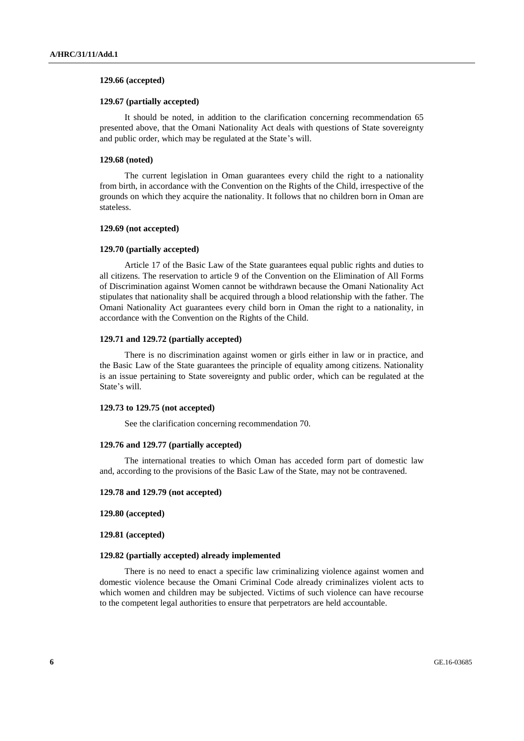## **129.66 (accepted)**

## **129.67 (partially accepted)**

It should be noted, in addition to the clarification concerning recommendation 65 presented above, that the Omani Nationality Act deals with questions of State sovereignty and public order, which may be regulated at the State's will.

#### **129.68 (noted)**

The current legislation in Oman guarantees every child the right to a nationality from birth, in accordance with the Convention on the Rights of the Child, irrespective of the grounds on which they acquire the nationality. It follows that no children born in Oman are stateless.

## **129.69 (not accepted)**

#### **129.70 (partially accepted)**

Article 17 of the Basic Law of the State guarantees equal public rights and duties to all citizens. The reservation to article 9 of the Convention on the Elimination of All Forms of Discrimination against Women cannot be withdrawn because the Omani Nationality Act stipulates that nationality shall be acquired through a blood relationship with the father. The Omani Nationality Act guarantees every child born in Oman the right to a nationality, in accordance with the Convention on the Rights of the Child.

#### **129.71 and 129.72 (partially accepted)**

There is no discrimination against women or girls either in law or in practice, and the Basic Law of the State guarantees the principle of equality among citizens. Nationality is an issue pertaining to State sovereignty and public order, which can be regulated at the State's will.

#### **129.73 to 129.75 (not accepted)**

See the clarification concerning recommendation 70.

#### **129.76 and 129.77 (partially accepted)**

The international treaties to which Oman has acceded form part of domestic law and, according to the provisions of the Basic Law of the State, may not be contravened.

#### **129.78 and 129.79 (not accepted)**

**129.80 (accepted)**

**129.81 (accepted)**

#### **129.82 (partially accepted) already implemented**

There is no need to enact a specific law criminalizing violence against women and domestic violence because the Omani Criminal Code already criminalizes violent acts to which women and children may be subjected. Victims of such violence can have recourse to the competent legal authorities to ensure that perpetrators are held accountable.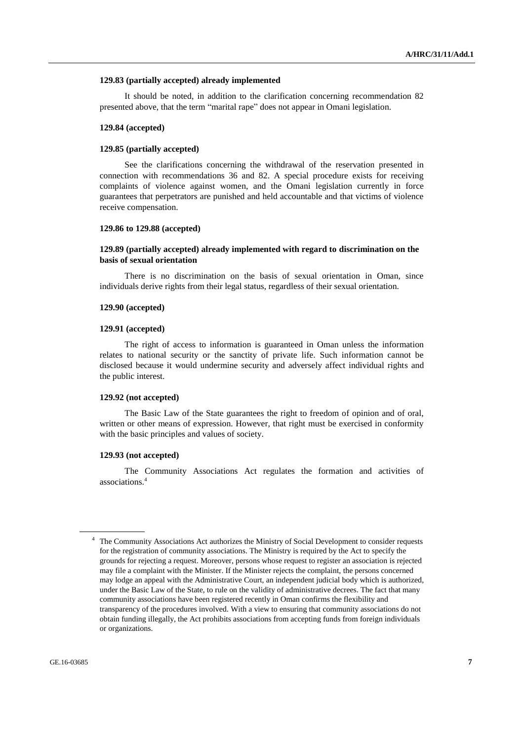#### **129.83 (partially accepted) already implemented**

It should be noted, in addition to the clarification concerning recommendation 82 presented above, that the term "marital rape" does not appear in Omani legislation.

#### **129.84 (accepted)**

## **129.85 (partially accepted)**

See the clarifications concerning the withdrawal of the reservation presented in connection with recommendations 36 and 82. A special procedure exists for receiving complaints of violence against women, and the Omani legislation currently in force guarantees that perpetrators are punished and held accountable and that victims of violence receive compensation.

## **129.86 to 129.88 (accepted)**

## **129.89 (partially accepted) already implemented with regard to discrimination on the basis of sexual orientation**

There is no discrimination on the basis of sexual orientation in Oman, since individuals derive rights from their legal status, regardless of their sexual orientation.

#### **129.90 (accepted)**

#### **129.91 (accepted)**

The right of access to information is guaranteed in Oman unless the information relates to national security or the sanctity of private life. Such information cannot be disclosed because it would undermine security and adversely affect individual rights and the public interest.

#### **129.92 (not accepted)**

The Basic Law of the State guarantees the right to freedom of opinion and of oral, written or other means of expression. However, that right must be exercised in conformity with the basic principles and values of society.

#### **129.93 (not accepted)**

The Community Associations Act regulates the formation and activities of associations.<sup>4</sup>

<sup>&</sup>lt;sup>4</sup> The Community Associations Act authorizes the Ministry of Social Development to consider requests for the registration of community associations. The Ministry is required by the Act to specify the grounds for rejecting a request. Moreover, persons whose request to register an association is rejected may file a complaint with the Minister. If the Minister rejects the complaint, the persons concerned may lodge an appeal with the Administrative Court, an independent judicial body which is authorized, under the Basic Law of the State, to rule on the validity of administrative decrees. The fact that many community associations have been registered recently in Oman confirms the flexibility and transparency of the procedures involved. With a view to ensuring that community associations do not obtain funding illegally, the Act prohibits associations from accepting funds from foreign individuals or organizations.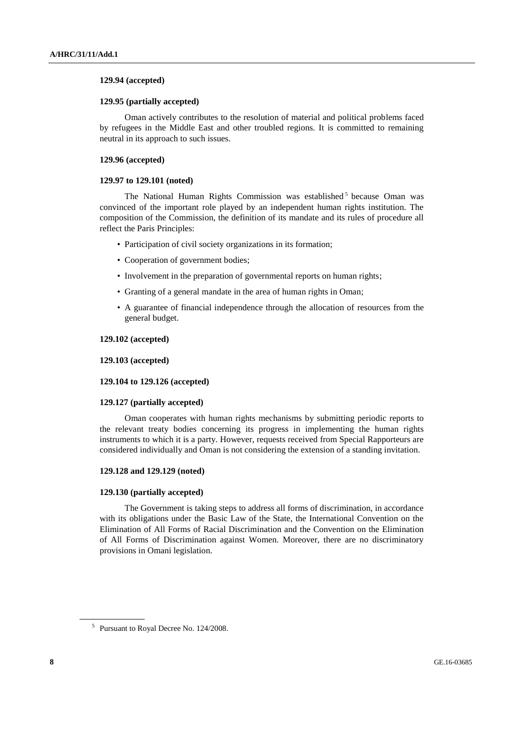## **129.94 (accepted)**

## **129.95 (partially accepted)**

Oman actively contributes to the resolution of material and political problems faced by refugees in the Middle East and other troubled regions. It is committed to remaining neutral in its approach to such issues.

## **129.96 (accepted)**

## **129.97 to 129.101 (noted)**

The National Human Rights Commission was established<sup>5</sup> because Oman was convinced of the important role played by an independent human rights institution. The composition of the Commission, the definition of its mandate and its rules of procedure all reflect the Paris Principles:

- Participation of civil society organizations in its formation;
- Cooperation of government bodies;
- Involvement in the preparation of governmental reports on human rights;
- Granting of a general mandate in the area of human rights in Oman;
- A guarantee of financial independence through the allocation of resources from the general budget.

## **129.102 (accepted)**

## **129.103 (accepted)**

## **129.104 to 129.126 (accepted)**

## **129.127 (partially accepted)**

Oman cooperates with human rights mechanisms by submitting periodic reports to the relevant treaty bodies concerning its progress in implementing the human rights instruments to which it is a party. However, requests received from Special Rapporteurs are considered individually and Oman is not considering the extension of a standing invitation.

## **129.128 and 129.129 (noted)**

## **129.130 (partially accepted)**

The Government is taking steps to address all forms of discrimination, in accordance with its obligations under the Basic Law of the State, the International Convention on the Elimination of All Forms of Racial Discrimination and the Convention on the Elimination of All Forms of Discrimination against Women. Moreover, there are no discriminatory provisions in Omani legislation.

<sup>&</sup>lt;sup>5</sup> Pursuant to Royal Decree No. 124/2008.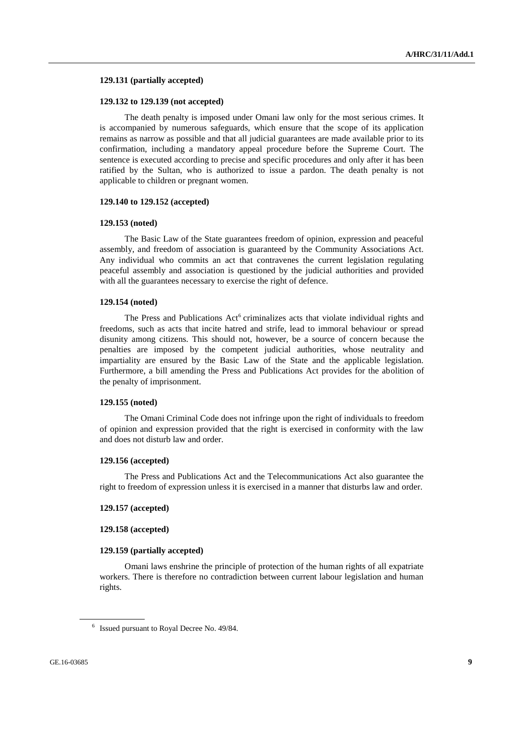#### **129.131 (partially accepted)**

## **129.132 to 129.139 (not accepted)**

The death penalty is imposed under Omani law only for the most serious crimes. It is accompanied by numerous safeguards, which ensure that the scope of its application remains as narrow as possible and that all judicial guarantees are made available prior to its confirmation, including a mandatory appeal procedure before the Supreme Court. The sentence is executed according to precise and specific procedures and only after it has been ratified by the Sultan, who is authorized to issue a pardon. The death penalty is not applicable to children or pregnant women.

#### **129.140 to 129.152 (accepted)**

#### **129.153 (noted)**

The Basic Law of the State guarantees freedom of opinion, expression and peaceful assembly, and freedom of association is guaranteed by the Community Associations Act. Any individual who commits an act that contravenes the current legislation regulating peaceful assembly and association is questioned by the judicial authorities and provided with all the guarantees necessary to exercise the right of defence.

#### **129.154 (noted)**

The Press and Publications Act<sup>6</sup> criminalizes acts that violate individual rights and freedoms, such as acts that incite hatred and strife, lead to immoral behaviour or spread disunity among citizens. This should not, however, be a source of concern because the penalties are imposed by the competent judicial authorities, whose neutrality and impartiality are ensured by the Basic Law of the State and the applicable legislation. Furthermore, a bill amending the Press and Publications Act provides for the abolition of the penalty of imprisonment.

#### **129.155 (noted)**

The Omani Criminal Code does not infringe upon the right of individuals to freedom of opinion and expression provided that the right is exercised in conformity with the law and does not disturb law and order.

## **129.156 (accepted)**

The Press and Publications Act and the Telecommunications Act also guarantee the right to freedom of expression unless it is exercised in a manner that disturbs law and order.

#### **129.157 (accepted)**

#### **129.158 (accepted)**

#### **129.159 (partially accepted)**

Omani laws enshrine the principle of protection of the human rights of all expatriate workers. There is therefore no contradiction between current labour legislation and human rights.

<sup>&</sup>lt;sup>6</sup> Issued pursuant to Royal Decree No. 49/84.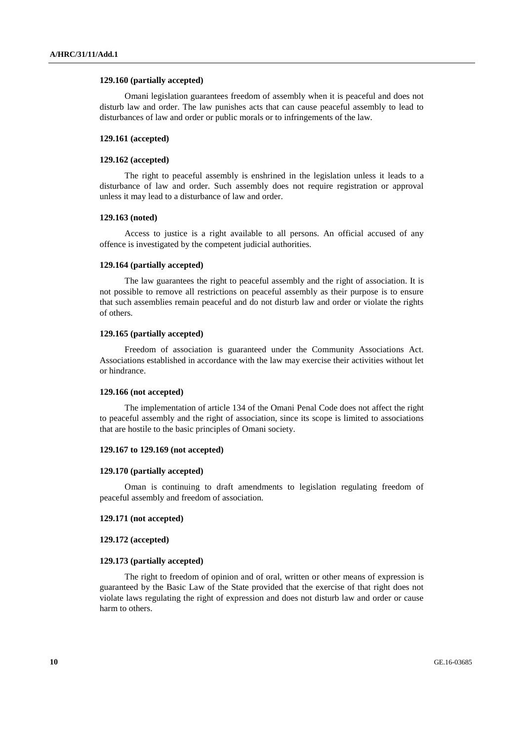#### **129.160 (partially accepted)**

Omani legislation guarantees freedom of assembly when it is peaceful and does not disturb law and order. The law punishes acts that can cause peaceful assembly to lead to disturbances of law and order or public morals or to infringements of the law.

## **129.161 (accepted)**

#### **129.162 (accepted)**

The right to peaceful assembly is enshrined in the legislation unless it leads to a disturbance of law and order. Such assembly does not require registration or approval unless it may lead to a disturbance of law and order.

## **129.163 (noted)**

Access to justice is a right available to all persons. An official accused of any offence is investigated by the competent judicial authorities.

## **129.164 (partially accepted)**

The law guarantees the right to peaceful assembly and the right of association. It is not possible to remove all restrictions on peaceful assembly as their purpose is to ensure that such assemblies remain peaceful and do not disturb law and order or violate the rights of others.

## **129.165 (partially accepted)**

Freedom of association is guaranteed under the Community Associations Act. Associations established in accordance with the law may exercise their activities without let or hindrance.

## **129.166 (not accepted)**

The implementation of article 134 of the Omani Penal Code does not affect the right to peaceful assembly and the right of association, since its scope is limited to associations that are hostile to the basic principles of Omani society.

## **129.167 to 129.169 (not accepted)**

#### **129.170 (partially accepted)**

Oman is continuing to draft amendments to legislation regulating freedom of peaceful assembly and freedom of association.

#### **129.171 (not accepted)**

#### **129.172 (accepted)**

#### **129.173 (partially accepted)**

The right to freedom of opinion and of oral, written or other means of expression is guaranteed by the Basic Law of the State provided that the exercise of that right does not violate laws regulating the right of expression and does not disturb law and order or cause harm to others.